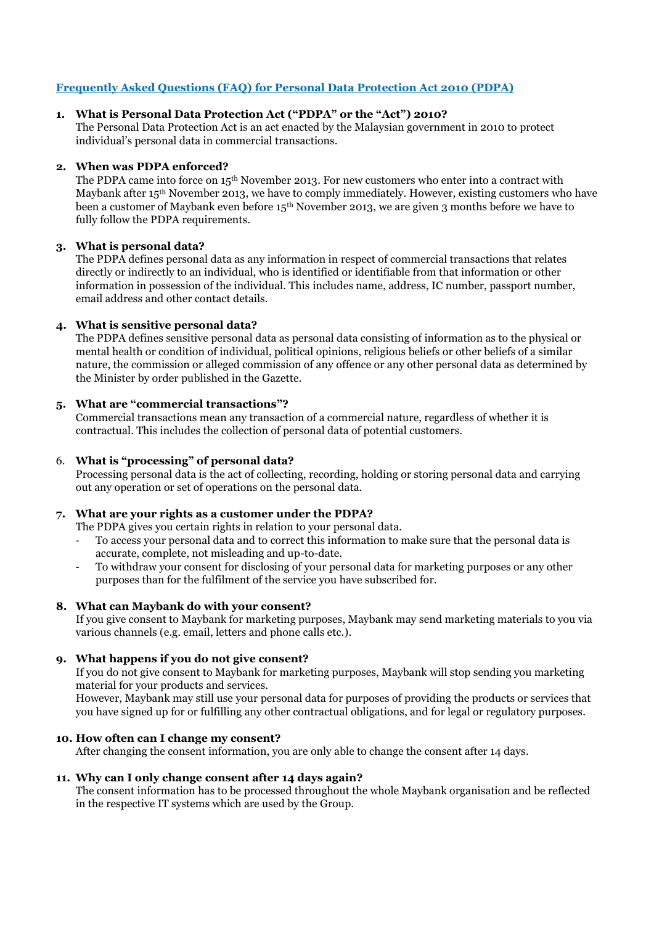# **Frequently Asked Questions (FAQ) for Personal Data Protection Act 2010 (PDPA)**

# **1. What is Personal Data Protection Act ("PDPA" or the "Act") 2010?**

The Personal Data Protection Act is an act enacted by the Malaysian government in 2010 to protect individual's personal data in commercial transactions.

# **2. When was PDPA enforced?**

The PDPA came into force on 15<sup>th</sup> November 2013. For new customers who enter into a contract with Maybank after 15<sup>th</sup> November 2013, we have to comply immediately. However, existing customers who have been a customer of Maybank even before 15th November 2013, we are given 3 months before we have to fully follow the PDPA requirements.

# **3. What is personal data?**

The PDPA defines personal data as any information in respect of commercial transactions that relates directly or indirectly to an individual, who is identified or identifiable from that information or other information in possession of the individual. This includes name, address, IC number, passport number, email address and other contact details.

# **4. What is sensitive personal data?**

The PDPA defines sensitive personal data as personal data consisting of information as to the physical or mental health or condition of individual, political opinions, religious beliefs or other beliefs of a similar nature, the commission or alleged commission of any offence or any other personal data as determined by the Minister by order published in the Gazette.

# **5. What are "commercial transactions"?**

Commercial transactions mean any transaction of a commercial nature, regardless of whether it is contractual. This includes the collection of personal data of potential customers.

# 6. **What is "processing" of personal data?**

Processing personal data is the act of collecting, recording, holding or storing personal data and carrying out any operation or set of operations on the personal data.

#### **7. What are your rights as a customer under the PDPA?**

The PDPA gives you certain rights in relation to your personal data.

- To access your personal data and to correct this information to make sure that the personal data is accurate, complete, not misleading and up-to-date.
- To withdraw your consent for disclosing of your personal data for marketing purposes or any other purposes than for the fulfilment of the service you have subscribed for.

# **8. What can Maybank do with your consent?**

If you give consent to Maybank for marketing purposes, Maybank may send marketing materials to you via various channels (e.g. email, letters and phone calls etc.).

# **9. What happens if you do not give consent?**

If you do not give consent to Maybank for marketing purposes, Maybank will stop sending you marketing material for your products and services.

However, Maybank may still use your personal data for purposes of providing the products or services that you have signed up for or fulfilling any other contractual obligations, and for legal or regulatory purposes.

#### **10. How often can I change my consent?**

After changing the consent information, you are only able to change the consent after 14 days.

# **11. Why can I only change consent after 14 days again?**

The consent information has to be processed throughout the whole Maybank organisation and be reflected in the respective IT systems which are used by the Group.